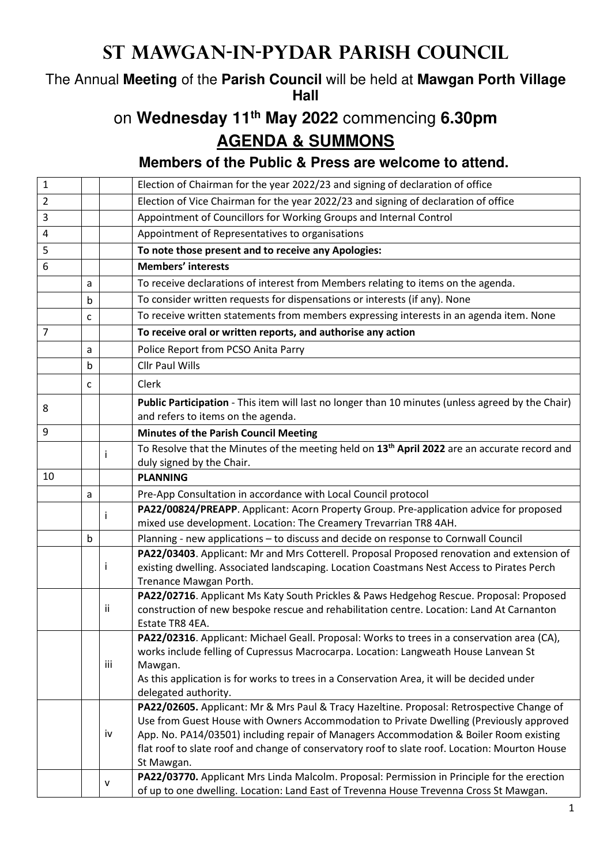## **St Mawgan-in-Pydar Parish Council**

The Annual **Meeting** of the **Parish Council** will be held at **Mawgan Porth Village Hall**

## on **Wednesday 11th May 2022** commencing **6.30pm**

**AGENDA & SUMMONS** 

**Members of the Public & Press are welcome to attend.** 

| $\mathbf{1}$   |   |         | Election of Chairman for the year 2022/23 and signing of declaration of office                                                                                                                                                                                                                                                                                                                                                                                                                |
|----------------|---|---------|-----------------------------------------------------------------------------------------------------------------------------------------------------------------------------------------------------------------------------------------------------------------------------------------------------------------------------------------------------------------------------------------------------------------------------------------------------------------------------------------------|
| $\overline{2}$ |   |         | Election of Vice Chairman for the year 2022/23 and signing of declaration of office                                                                                                                                                                                                                                                                                                                                                                                                           |
| 3              |   |         | Appointment of Councillors for Working Groups and Internal Control                                                                                                                                                                                                                                                                                                                                                                                                                            |
| 4              |   |         | Appointment of Representatives to organisations                                                                                                                                                                                                                                                                                                                                                                                                                                               |
| 5              |   |         | To note those present and to receive any Apologies:                                                                                                                                                                                                                                                                                                                                                                                                                                           |
| 6              |   |         | <b>Members' interests</b>                                                                                                                                                                                                                                                                                                                                                                                                                                                                     |
|                | a |         | To receive declarations of interest from Members relating to items on the agenda.                                                                                                                                                                                                                                                                                                                                                                                                             |
|                | b |         | To consider written requests for dispensations or interests (if any). None                                                                                                                                                                                                                                                                                                                                                                                                                    |
|                | c |         | To receive written statements from members expressing interests in an agenda item. None                                                                                                                                                                                                                                                                                                                                                                                                       |
| $\overline{7}$ |   |         | To receive oral or written reports, and authorise any action                                                                                                                                                                                                                                                                                                                                                                                                                                  |
|                | a |         | Police Report from PCSO Anita Parry                                                                                                                                                                                                                                                                                                                                                                                                                                                           |
|                | b |         | <b>Cllr Paul Wills</b>                                                                                                                                                                                                                                                                                                                                                                                                                                                                        |
|                | c |         | Clerk                                                                                                                                                                                                                                                                                                                                                                                                                                                                                         |
| 8              |   |         | Public Participation - This item will last no longer than 10 minutes (unless agreed by the Chair)<br>and refers to items on the agenda.                                                                                                                                                                                                                                                                                                                                                       |
| 9              |   |         | <b>Minutes of the Parish Council Meeting</b>                                                                                                                                                                                                                                                                                                                                                                                                                                                  |
|                |   |         | To Resolve that the Minutes of the meeting held on 13 <sup>th</sup> April 2022 are an accurate record and<br>duly signed by the Chair.                                                                                                                                                                                                                                                                                                                                                        |
| 10             |   |         | <b>PLANNING</b>                                                                                                                                                                                                                                                                                                                                                                                                                                                                               |
|                | a |         | Pre-App Consultation in accordance with Local Council protocol                                                                                                                                                                                                                                                                                                                                                                                                                                |
|                |   |         | PA22/00824/PREAPP. Applicant: Acorn Property Group. Pre-application advice for proposed                                                                                                                                                                                                                                                                                                                                                                                                       |
|                |   |         | mixed use development. Location: The Creamery Trevarrian TR8 4AH.                                                                                                                                                                                                                                                                                                                                                                                                                             |
|                | b |         | Planning - new applications - to discuss and decide on response to Cornwall Council                                                                                                                                                                                                                                                                                                                                                                                                           |
|                |   |         | PA22/03403. Applicant: Mr and Mrs Cotterell. Proposal Proposed renovation and extension of<br>existing dwelling. Associated landscaping. Location Coastmans Nest Access to Pirates Perch<br>Trenance Mawgan Porth.                                                                                                                                                                                                                                                                            |
|                |   | Ϊİ      | PA22/02716. Applicant Ms Katy South Prickles & Paws Hedgehog Rescue. Proposal: Proposed<br>construction of new bespoke rescue and rehabilitation centre. Location: Land At Carnanton<br>Estate TR8 4EA.                                                                                                                                                                                                                                                                                       |
|                |   | iii     | PA22/02316. Applicant: Michael Geall. Proposal: Works to trees in a conservation area (CA),<br>works include felling of Cupressus Macrocarpa. Location: Langweath House Lanvean St<br>Mawgan.<br>As this application is for works to trees in a Conservation Area, it will be decided under<br>delegated authority.                                                                                                                                                                           |
|                |   | iv<br>v | PA22/02605. Applicant: Mr & Mrs Paul & Tracy Hazeltine. Proposal: Retrospective Change of<br>Use from Guest House with Owners Accommodation to Private Dwelling (Previously approved<br>App. No. PA14/03501) including repair of Managers Accommodation & Boiler Room existing<br>flat roof to slate roof and change of conservatory roof to slate roof. Location: Mourton House<br>St Mawgan.<br>PA22/03770. Applicant Mrs Linda Malcolm. Proposal: Permission in Principle for the erection |
|                |   |         | of up to one dwelling. Location: Land East of Trevenna House Trevenna Cross St Mawgan.                                                                                                                                                                                                                                                                                                                                                                                                        |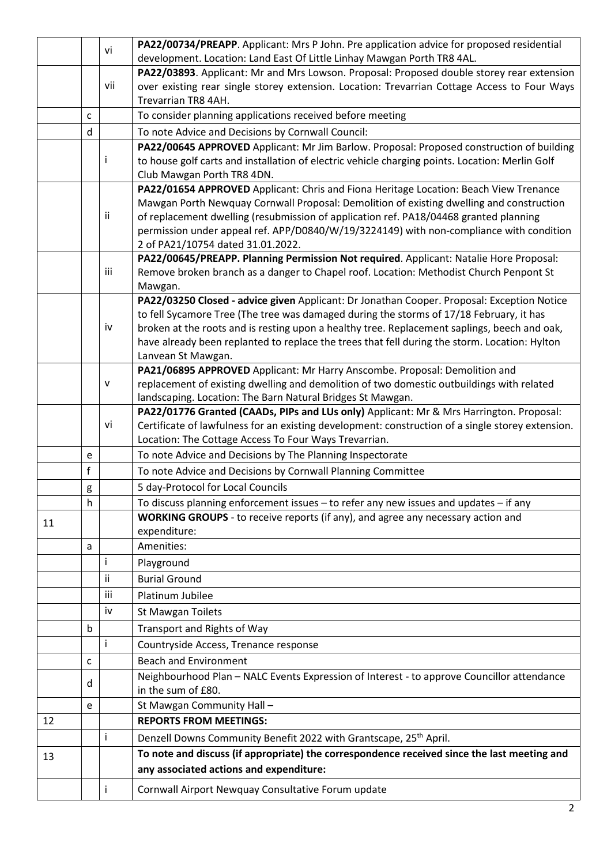|    |   | vi  | PA22/00734/PREAPP. Applicant: Mrs P John. Pre application advice for proposed residential         |
|----|---|-----|---------------------------------------------------------------------------------------------------|
|    |   |     | development. Location: Land East Of Little Linhay Mawgan Porth TR8 4AL.                           |
|    |   |     | PA22/03893. Applicant: Mr and Mrs Lowson. Proposal: Proposed double storey rear extension         |
|    |   | vii | over existing rear single storey extension. Location: Trevarrian Cottage Access to Four Ways      |
|    |   |     | Trevarrian TR8 4AH.                                                                               |
|    | C |     | To consider planning applications received before meeting                                         |
|    | d |     | To note Advice and Decisions by Cornwall Council:                                                 |
|    |   |     | PA22/00645 APPROVED Applicant: Mr Jim Barlow. Proposal: Proposed construction of building         |
|    |   | Ť   | to house golf carts and installation of electric vehicle charging points. Location: Merlin Golf   |
|    |   |     | Club Mawgan Porth TR8 4DN.                                                                        |
|    |   |     | PA22/01654 APPROVED Applicant: Chris and Fiona Heritage Location: Beach View Trenance             |
|    |   |     | Mawgan Porth Newquay Cornwall Proposal: Demolition of existing dwelling and construction          |
|    |   | ii  | of replacement dwelling (resubmission of application ref. PA18/04468 granted planning             |
|    |   |     | permission under appeal ref. APP/D0840/W/19/3224149) with non-compliance with condition           |
|    |   |     | 2 of PA21/10754 dated 31.01.2022.                                                                 |
|    |   | iii | PA22/00645/PREAPP. Planning Permission Not required. Applicant: Natalie Hore Proposal:            |
|    |   |     | Remove broken branch as a danger to Chapel roof. Location: Methodist Church Penpont St<br>Mawgan. |
|    |   |     | PA22/03250 Closed - advice given Applicant: Dr Jonathan Cooper. Proposal: Exception Notice        |
|    |   |     | to fell Sycamore Tree (The tree was damaged during the storms of 17/18 February, it has           |
|    |   | iv  | broken at the roots and is resting upon a healthy tree. Replacement saplings, beech and oak,      |
|    |   |     | have already been replanted to replace the trees that fell during the storm. Location: Hylton     |
|    |   |     | Lanvean St Mawgan.                                                                                |
|    |   |     | PA21/06895 APPROVED Applicant: Mr Harry Anscombe. Proposal: Demolition and                        |
|    |   | v   | replacement of existing dwelling and demolition of two domestic outbuildings with related         |
|    |   |     | landscaping. Location: The Barn Natural Bridges St Mawgan.                                        |
|    |   |     | PA22/01776 Granted (CAADs, PIPs and LUs only) Applicant: Mr & Mrs Harrington. Proposal:           |
|    |   | vi  | Certificate of lawfulness for an existing development: construction of a single storey extension. |
|    |   |     | Location: The Cottage Access To Four Ways Trevarrian.                                             |
|    | e |     | To note Advice and Decisions by The Planning Inspectorate                                         |
|    | f |     | To note Advice and Decisions by Cornwall Planning Committee                                       |
|    | g |     | 5 day-Protocol for Local Councils                                                                 |
|    | h |     | To discuss planning enforcement issues - to refer any new issues and updates - if any             |
| 11 |   |     | WORKING GROUPS - to receive reports (if any), and agree any necessary action and                  |
|    |   |     | expenditure:                                                                                      |
|    | a |     | Amenities:                                                                                        |
|    |   | Ť   | Playground                                                                                        |
|    |   | ii  | <b>Burial Ground</b>                                                                              |
|    |   | iii | Platinum Jubilee                                                                                  |
|    |   | iv  | <b>St Mawgan Toilets</b>                                                                          |
|    | b |     | Transport and Rights of Way                                                                       |
|    |   | Ť   | Countryside Access, Trenance response                                                             |
|    | C |     | <b>Beach and Environment</b>                                                                      |
|    |   |     | Neighbourhood Plan - NALC Events Expression of Interest - to approve Councillor attendance        |
|    | d |     | in the sum of £80.                                                                                |
|    | e |     | St Mawgan Community Hall-                                                                         |
| 12 |   |     | <b>REPORTS FROM MEETINGS:</b>                                                                     |
|    |   | i   | Denzell Downs Community Benefit 2022 with Grantscape, 25 <sup>th</sup> April.                     |
| 13 |   |     | To note and discuss (if appropriate) the correspondence received since the last meeting and       |
|    |   |     | any associated actions and expenditure:                                                           |
|    |   |     |                                                                                                   |
|    |   |     | Cornwall Airport Newquay Consultative Forum update                                                |